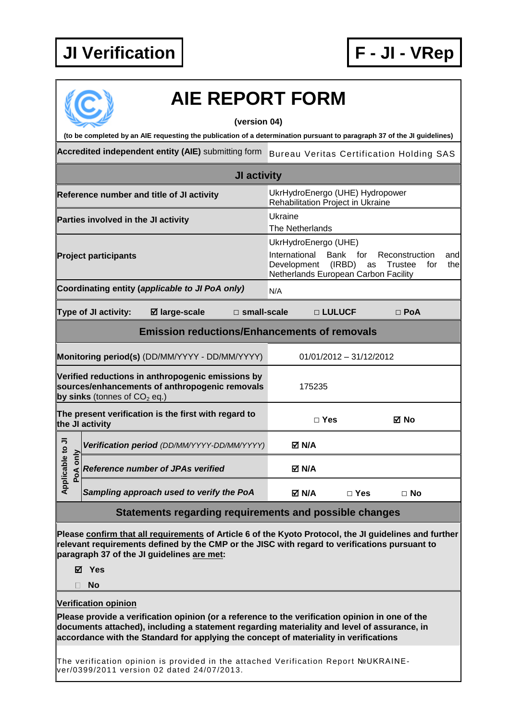

| <b>AIE REPORT FORM</b><br>(version 04)                                                                                                                                                                                                                                                  |             |                      |                                                               |                       |                                                                                                                                                                                      |                                                 |            |  |  |
|-----------------------------------------------------------------------------------------------------------------------------------------------------------------------------------------------------------------------------------------------------------------------------------------|-------------|----------------------|---------------------------------------------------------------|-----------------------|--------------------------------------------------------------------------------------------------------------------------------------------------------------------------------------|-------------------------------------------------|------------|--|--|
| (to be completed by an AIE requesting the publication of a determination pursuant to paragraph 37 of the JI guidelines)                                                                                                                                                                 |             |                      |                                                               |                       |                                                                                                                                                                                      |                                                 |            |  |  |
|                                                                                                                                                                                                                                                                                         |             |                      | Accredited independent entity (AIE) submitting form           |                       |                                                                                                                                                                                      | <b>Bureau Veritas Certification Holding SAS</b> |            |  |  |
| JI activity                                                                                                                                                                                                                                                                             |             |                      |                                                               |                       |                                                                                                                                                                                      |                                                 |            |  |  |
| Reference number and title of JI activity                                                                                                                                                                                                                                               |             |                      |                                                               |                       | UkrHydroEnergo (UHE) Hydropower<br>Rehabilitation Project in Ukraine                                                                                                                 |                                                 |            |  |  |
| Parties involved in the JI activity                                                                                                                                                                                                                                                     |             |                      |                                                               |                       | Ukraine<br>The Netherlands                                                                                                                                                           |                                                 |            |  |  |
| <b>Project participants</b>                                                                                                                                                                                                                                                             |             |                      |                                                               |                       | UkrHydroEnergo (UHE)<br>International<br>Bank<br>for<br>Reconstruction<br>and<br>Development<br>(IRBD)<br><b>Trustee</b><br>the<br>as<br>for<br>Netherlands European Carbon Facility |                                                 |            |  |  |
|                                                                                                                                                                                                                                                                                         |             |                      | Coordinating entity (applicable to JI PoA only)               |                       | N/A                                                                                                                                                                                  |                                                 |            |  |  |
|                                                                                                                                                                                                                                                                                         |             | Type of JI activity: | <b>Ø</b> large-scale                                          | $\square$ small-scale |                                                                                                                                                                                      | □ LULUCF                                        | $\Box$ PoA |  |  |
| <b>Emission reductions/Enhancements of removals</b>                                                                                                                                                                                                                                     |             |                      |                                                               |                       |                                                                                                                                                                                      |                                                 |            |  |  |
|                                                                                                                                                                                                                                                                                         |             |                      | Monitoring period(s) (DD/MM/YYYY - DD/MM/YYYY)                |                       |                                                                                                                                                                                      | 01/01/2012 - 31/12/2012                         |            |  |  |
| Verified reductions in anthropogenic emissions by<br>sources/enhancements of anthropogenic removals<br>by sinks (tonnes of $CO2$ eq.)                                                                                                                                                   |             |                      |                                                               |                       | 175235                                                                                                                                                                               |                                                 |            |  |  |
| The present verification is the first with regard to<br>the JI activity                                                                                                                                                                                                                 |             |                      |                                                               |                       | $\Box$ Yes                                                                                                                                                                           |                                                 | ⊠ No       |  |  |
| le to Jl                                                                                                                                                                                                                                                                                |             |                      | Verification period (DD/MM/YYYY-DD/MM/YYYY)                   |                       | M N/A                                                                                                                                                                                |                                                 |            |  |  |
|                                                                                                                                                                                                                                                                                         | only<br>PoA |                      | <b>Reference number of JPAs verified</b>                      |                       | M N/A                                                                                                                                                                                |                                                 |            |  |  |
| Applicab                                                                                                                                                                                                                                                                                |             |                      | Sampling approach used to verify the PoA                      |                       | <b>⊠ N/A</b>                                                                                                                                                                         | $\Box$ Yes                                      | $\Box$ No  |  |  |
|                                                                                                                                                                                                                                                                                         |             |                      | <b>Statements regarding requirements and possible changes</b> |                       |                                                                                                                                                                                      |                                                 |            |  |  |
| Please confirm that all requirements of Article 6 of the Kyoto Protocol, the JI guidelines and further<br>relevant requirements defined by the CMP or the JISC with regard to verifications pursuant to<br>paragraph 37 of the JI guidelines are met:<br>⊠ Yes<br><b>No</b>             |             |                      |                                                               |                       |                                                                                                                                                                                      |                                                 |            |  |  |
| <b>Verification opinion</b>                                                                                                                                                                                                                                                             |             |                      |                                                               |                       |                                                                                                                                                                                      |                                                 |            |  |  |
| Please provide a verification opinion (or a reference to the verification opinion in one of the<br>documents attached), including a statement regarding materiality and level of assurance, in<br>accordance with the Standard for applying the concept of materiality in verifications |             |                      |                                                               |                       |                                                                                                                                                                                      |                                                 |            |  |  |
| The verification opinion is provided in the attached Verification Report №UKRAINE-<br>ver/0399/2011 version 02 dated 24/07/2013.                                                                                                                                                        |             |                      |                                                               |                       |                                                                                                                                                                                      |                                                 |            |  |  |